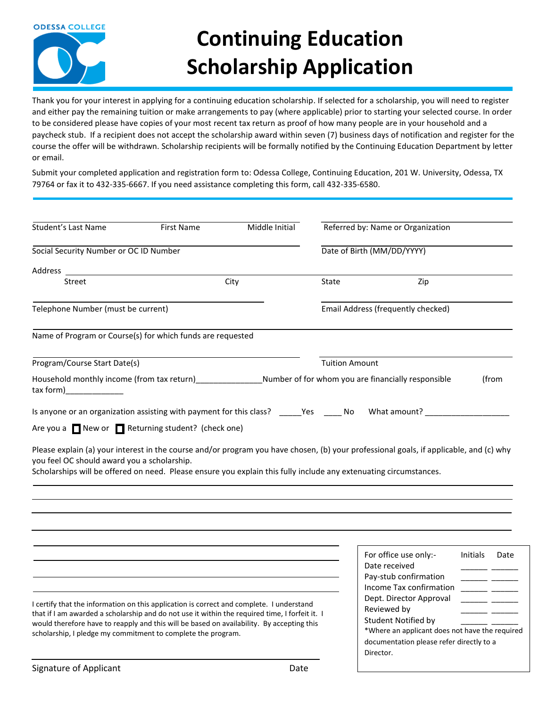

## **Continuing Education Scholarship Application**

Thank you for your interest in applying for a continuing education scholarship. If selected for a scholarship, you will need to register and either pay the remaining tuition or make arrangements to pay (where applicable) prior to starting your selected course. In order to be considered please have copies of your most recent tax return as proof of how many people are in your household and a paycheck stub. If a recipient does not accept the scholarship award within seven (7) business days of notification and register for the course the offer will be withdrawn. Scholarship recipients will be formally notified by the Continuing Education Department by letter or email.

Submit your completed application and registration form to: Odessa College, Continuing Education, 201 W. University, Odessa, TX 79764 or fax it to 432-335-6667. If you need assistance completing this form, call 432-335-6580.

| <b>Student's Last Name</b>                                                                                                                                                                                                                                                                                                                              | <b>First Name</b> | Middle Initial |                                                                                                         | Referred by: Name or Organization                                                                                                      |                 |                          |  |
|---------------------------------------------------------------------------------------------------------------------------------------------------------------------------------------------------------------------------------------------------------------------------------------------------------------------------------------------------------|-------------------|----------------|---------------------------------------------------------------------------------------------------------|----------------------------------------------------------------------------------------------------------------------------------------|-----------------|--------------------------|--|
| Social Security Number or OC ID Number                                                                                                                                                                                                                                                                                                                  |                   |                |                                                                                                         | Date of Birth (MM/DD/YYYY)                                                                                                             |                 |                          |  |
| Address                                                                                                                                                                                                                                                                                                                                                 |                   |                |                                                                                                         |                                                                                                                                        |                 |                          |  |
| Street                                                                                                                                                                                                                                                                                                                                                  |                   | City           | State                                                                                                   | Zip                                                                                                                                    |                 |                          |  |
| Telephone Number (must be current)                                                                                                                                                                                                                                                                                                                      |                   |                | Email Address (frequently checked)                                                                      |                                                                                                                                        |                 |                          |  |
| Name of Program or Course(s) for which funds are requested                                                                                                                                                                                                                                                                                              |                   |                |                                                                                                         |                                                                                                                                        |                 |                          |  |
| Program/Course Start Date(s)                                                                                                                                                                                                                                                                                                                            |                   |                | <b>Tuition Amount</b>                                                                                   |                                                                                                                                        |                 |                          |  |
| Household monthly income (from tax return) Number of for whom you are financially responsible<br>$\frac{1}{2}$ tax form)                                                                                                                                                                                                                                |                   |                |                                                                                                         |                                                                                                                                        |                 | (from                    |  |
|                                                                                                                                                                                                                                                                                                                                                         |                   |                |                                                                                                         | Is anyone or an organization assisting with payment for this class? _____Yes _____No What amount? _______                              |                 |                          |  |
| Are you a New or Returning student? (check one)                                                                                                                                                                                                                                                                                                         |                   |                |                                                                                                         |                                                                                                                                        |                 |                          |  |
| you feel OC should award you a scholarship.<br>Scholarships will be offered on need. Please ensure you explain this fully include any extenuating circumstances.                                                                                                                                                                                        |                   |                |                                                                                                         | Please explain (a) your interest in the course and/or program you have chosen, (b) your professional goals, if applicable, and (c) why |                 |                          |  |
|                                                                                                                                                                                                                                                                                                                                                         |                   |                |                                                                                                         |                                                                                                                                        |                 |                          |  |
|                                                                                                                                                                                                                                                                                                                                                         |                   |                |                                                                                                         | For office use only:-<br>Date received                                                                                                 | <b>Initials</b> | Date                     |  |
|                                                                                                                                                                                                                                                                                                                                                         |                   |                |                                                                                                         | Pay-stub confirmation<br>Income Tax confirmation                                                                                       |                 | $\overline{\phantom{a}}$ |  |
|                                                                                                                                                                                                                                                                                                                                                         |                   |                |                                                                                                         | Dept. Director Approval                                                                                                                |                 |                          |  |
| I certify that the information on this application is correct and complete. I understand<br>that if I am awarded a scholarship and do not use it within the required time, I forfeit it. I<br>would therefore have to reapply and this will be based on availability. By accepting this<br>scholarship, I pledge my commitment to complete the program. |                   |                |                                                                                                         | Reviewed by<br>Student Notified by                                                                                                     |                 |                          |  |
|                                                                                                                                                                                                                                                                                                                                                         |                   |                | *Where an applicant does not have the required<br>documentation please refer directly to a<br>Director. |                                                                                                                                        |                 |                          |  |